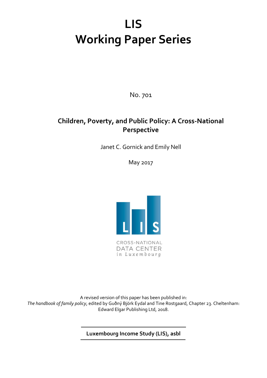# **LIS Working Paper Series**

No. 701

# **Children, Poverty, and Public Policy: A Cross-National Perspective**

Janet C. Gornick and Emily Nell

May 2017



in Luxembourg

A revised version of this paper has been published in: *The handbook of family policy*, edited by Guðný Björk Eydal and Tine Rostgaard, Chapter 23. Cheltenham: Edward Elgar Publishing Ltd, 2018.

**Luxembourg Income Study (LIS), asbl**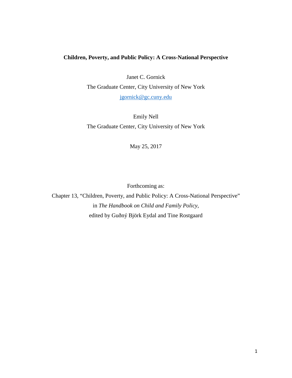# **Children, Poverty, and Public Policy: A Cross-National Perspective**

Janet C. Gornick

The Graduate Center, City University of New York

[jgornick@gc.cuny.edu](mailto:jgornick@gc.cuny.edu)

Emily Nell The Graduate Center, City University of New York

May 25, 2017

Forthcoming as:

Chapter 13, "Children, Poverty, and Public Policy: A Cross-National Perspective" in *The Handbook on Child and Family Policy*, edited by Guðný Björk Eydal and Tine Rostgaard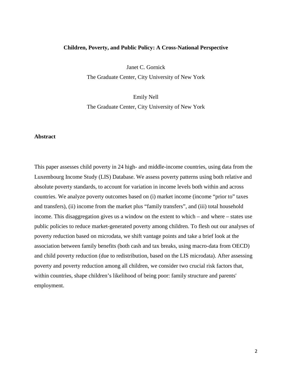# **Children, Poverty, and Public Policy: A Cross-National Perspective**

Janet C. Gornick

The Graduate Center, City University of New York

Emily Nell The Graduate Center, City University of New York

# **Abstract**

This paper assesses child poverty in 24 high- and middle-income countries, using data from the Luxembourg Income Study (LIS) Database. We assess poverty patterns using both relative and absolute poverty standards, to account for variation in income levels both within and across countries. We analyze poverty outcomes based on (i) market income (income "prior to" taxes and transfers), (ii) income from the market plus "family transfers", and (iii) total household income. This disaggregation gives us a window on the extent to which – and where – states use public policies to reduce market-generated poverty among children. To flesh out our analyses of poverty reduction based on microdata, we shift vantage points and take a brief look at the association between family benefits (both cash and tax breaks, using macro-data from OECD) and child poverty reduction (due to redistribution, based on the LIS microdata). After assessing poverty and poverty reduction among all children, we consider two crucial risk factors that, within countries, shape children's likelihood of being poor: family structure and parents' employment.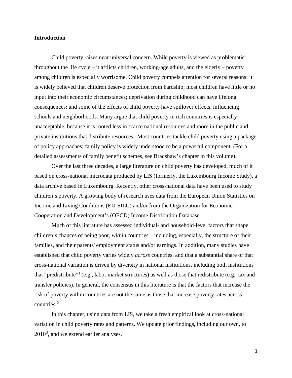# **Introduction**

Child poverty raises near universal concern. While poverty is viewed as problematic throughout the life cycle – it afflicts children, working-age adults, and the elderly – poverty among children is especially worrisome. Child poverty compels attention for several reasons: it is widely believed that children deserve protection from hardship; most children have little or no input into their economic circumstances; deprivation during childhood can have lifelong consequences; and some of the effects of child poverty have spillover effects, influencing schools and neighborhoods. Many argue that child poverty in rich countries is especially unacceptable, because it is rooted less in scarce national resources and more in the public and private institutions that distribute resources. Most countries tackle child poverty using a package of policy approaches; family policy is widely understood to be a powerful component. (For a detailed assessments of family benefit schemes, see Bradshaw's chapter in this volume).

Over the last three decades, a large literature on child poverty has developed, much of it based on cross-national microdata produced by LIS (formerly, the Luxembourg Income Study), a data archive based in Luxembourg. Recently, other cross-national data have been used to study children's poverty. A growing body of research uses data from the European Union Statistics on Income and Living Conditions (EU-SILC) and/or from the Organization for Economic Cooperation and Development's (OECD) Income Distribution Database.

Much of this literature has assessed individual- and household-level factors that shape children's chances of being poor, *within* countries – including, especially, the structure of their families, and their parents' employment status and/or earnings. In addition, many studies have established that child poverty varies widely *across* countries, and that a substantial share of that cross-national variation is driven by diversity in national institutions, including both institutions that "predistribute"[1](#page-17-0) (e.g., labor market structures) as well as those that redistribute (e.g., tax and transfer policies). In general, the consensus in this literature is that the factors that increase the risk of poverty within countries are not the same as those that increase poverty rates across countries.[2](#page-17-1)

In this chapter, using data from LIS, we take a fresh empirical look at cross-national variation in child poverty rates and patterns. We update prior findings, including our own, to  $2010<sup>3</sup>$  $2010<sup>3</sup>$  $2010<sup>3</sup>$ , and we extend earlier analyses.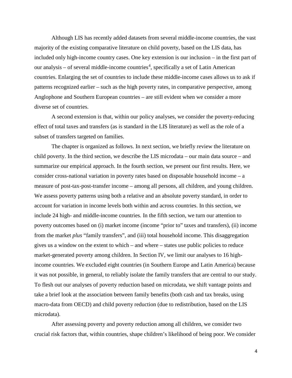Although LIS has recently added datasets from several middle-income countries, the vast majority of the existing comparative literature on child poverty, based on the LIS data, has included only high-income country cases. One key extension is our inclusion – in the first part of our analysis – of several middle-income countries<sup>[4](#page-17-3)</sup>, specifically a set of Latin American countries. Enlarging the set of countries to include these middle-income cases allows us to ask if patterns recognized earlier – such as the high poverty rates, in comparative perspective, among Anglophone and Southern European countries – are still evident when we consider a more diverse set of countries.

A second extension is that, within our policy analyses, we consider the poverty-reducing effect of total taxes and transfers (as is standard in the LIS literature) as well as the role of a subset of transfers targeted on families.

The chapter is organized as follows. In next section, we briefly review the literature on child poverty. In the third section, we describe the LIS microdata – our main data source – and summarize our empirical approach. In the fourth section, we present our first results. Here, we consider cross-national variation in poverty rates based on disposable household income – a measure of post-tax-post-transfer income – among all persons, all children, and young children. We assess poverty patterns using both a relative and an absolute poverty standard, in order to account for variation in income levels both within and across countries. In this section, we include 24 high- and middle-income countries. In the fifth section, we turn our attention to poverty outcomes based on (i) market income (income "prior to" taxes and transfers), (ii) income from the market *plus* "family transfers", and (iii) total household income. This disaggregation gives us a window on the extent to which – and where – states use public policies to reduce market-generated poverty among children. In Section IV, we limit our analyses to 16 highincome countries. We excluded eight countries (in Southern Europe and Latin America) because it was not possible, in general, to reliably isolate the family transfers that are central to our study. To flesh out our analyses of poverty reduction based on microdata, we shift vantage points and take a brief look at the association between family benefits (both cash and tax breaks, using macro-data from OECD) and child poverty reduction (due to redistribution, based on the LIS microdata).

After assessing poverty and poverty reduction among all children, we consider two crucial risk factors that, within countries, shape children's likelihood of being poor. We consider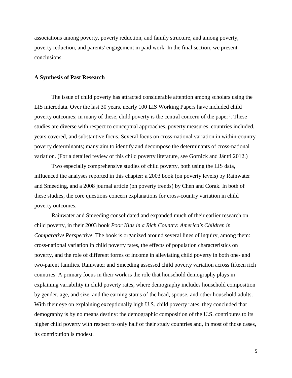associations among poverty, poverty reduction, and family structure, and among poverty, poverty reduction, and parents' engagement in paid work. In the final section, we present conclusions.

# **A Synthesis of Past Research**

The issue of child poverty has attracted considerable attention among scholars using the LIS microdata. Over the last 30 years, nearly 100 LIS Working Papers have included child poverty outcomes; in many of these, child poverty is the central concern of the paper<sup>[5](#page-17-4)</sup>. These studies are diverse with respect to conceptual approaches, poverty measures, countries included, years covered, and substantive focus. Several focus on cross-national variation in within-country poverty determinants; many aim to identify and decompose the determinants of cross-national variation. (For a detailed review of this child poverty literature, see Gornick and Jäntti 2012.)

Two especially comprehensive studies of child poverty, both using the LIS data, influenced the analyses reported in this chapter: a 2003 book (on poverty levels) by Rainwater and Smeeding, and a 2008 journal article (on poverty trends) by Chen and Corak. In both of these studies, the core questions concern explanations for cross-country variation in child poverty outcomes.

Rainwater and Smeeding consolidated and expanded much of their earlier research on child poverty, in their 2003 book *Poor Kids in a Rich Country: America's Children in Comparative Perspective.* The book is organized around several lines of inquiry, among them: cross-national variation in child poverty rates, the effects of population characteristics on poverty, and the role of different forms of income in alleviating child poverty in both one- and two-parent families. Rainwater and Smeeding assessed child poverty variation across fifteen rich countries. A primary focus in their work is the role that household demography plays in explaining variability in child poverty rates, where demography includes household composition by gender, age, and size, and the earning status of the head, spouse, and other household adults. With their eye on explaining exceptionally high U.S. child poverty rates, they concluded that demography is by no means destiny: the demographic composition of the U.S. contributes to its higher child poverty with respect to only half of their study countries and, in most of those cases, its contribution is modest.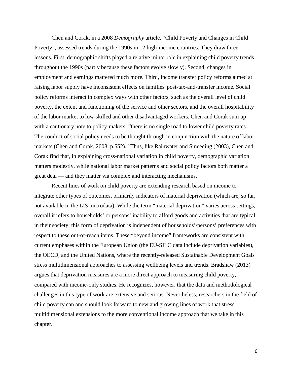Chen and Corak, in a 2008 *Demography* article, "Child Poverty and Changes in Child Poverty", assessed trends during the 1990s in 12 high-income countries. They draw three lessons. First, demographic shifts played a relative minor role in explaining child poverty trends throughout the 1990s (partly because these factors evolve slowly). Second, changes in employment and earnings mattered much more. Third, income transfer policy reforms aimed at raising labor supply have inconsistent effects on families' post-tax-and-transfer income. Social policy reforms interact in complex ways with other factors, such as the overall level of child poverty, the extent and functioning of the service and other sectors, and the overall hospitability of the labor market to low-skilled and other disadvantaged workers. Chen and Corak sum up with a cautionary note to policy-makers: "there is no single road to lower child poverty rates. The conduct of social policy needs to be thought through in conjunction with the nature of labor markets (Chen and Corak, 2008, p.552)." Thus, like Rainwater and Smeeding (2003), Chen and Corak find that, in explaining cross-national variation in child poverty, demographic variation matters modestly, while national labor market patterns and social policy factors both matter a great deal — and they matter via complex and interacting mechanisms.

Recent lines of work on child poverty are extending research based on income to integrate other types of outcomes, primarily indicators of material deprivation (which are, so far, not available in the LIS microdata). While the term "material deprivation" varies across settings, overall it refers to households' or persons' inability to afford goods and activities that are typical in their society; this form of deprivation is independent of households'/persons' preferences with respect to these out-of-reach items. These "beyond income" frameworks are consistent with current emphases within the European Union (the EU-SILC data include deprivation variables), the OECD, and the United Nations, where the recently-released Sustainable Development Goals stress multidimensional approaches to assessing wellbeing levels and trends. Bradshaw (2013) argues that deprivation measures are a more direct approach to measuring child poverty, compared with income-only studies. He recognizes, however, that the data and methodological challenges in this type of work are extensive and serious. Nevertheless, researchers in the field of child poverty can and should look forward to new and growing lines of work that stress multidimensional extensions to the more conventional income approach that we take in this chapter.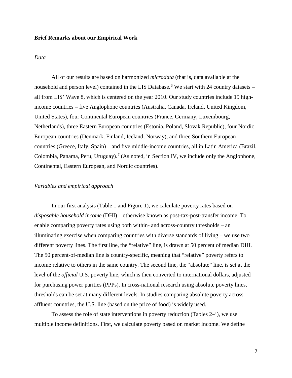# **Brief Remarks about our Empirical Work**

# *Data*

All of our results are based on harmonized *microdata* (that is, data available at the household and person level) contained in the LIS Database.<sup>[6](#page-17-5)</sup> We start with 24 country datasets – all from LIS' Wave 8, which is centered on the year 2010. Our study countries include 19 highincome countries – five Anglophone countries (Australia, Canada, Ireland, United Kingdom, United States), four Continental European countries (France, Germany, Luxembourg, Netherlands), three Eastern European countries (Estonia, Poland, Slovak Republic), four Nordic European countries (Denmark, Finland, Iceland, Norway), and three Southern European countries (Greece, Italy, Spain) – and five middle-income countries, all in Latin America (Brazil, Colombia, Panama, Peru, Uruguay).<sup>[7](#page-17-6)</sup> (As noted, in Section IV, we include only the Anglophone, Continental, Eastern European, and Nordic countries).

# *Variables and empirical approach*

In our first analysis (Table 1 and Figure 1), we calculate poverty rates based on *disposable household income* (DHI) – otherwise known as post-tax-post-transfer income. To enable comparing poverty rates using both within- and across-country thresholds – an illuminating exercise when comparing countries with diverse standards of living – we use two different poverty lines. The first line, the "relative" line, is drawn at 50 percent of median DHI. The 50 percent-of-median line is country-specific, meaning that "relative" poverty refers to income relative to others in the same country. The second line, the "absolute" line, is set at the level of the *official* U.S. poverty line, which is then converted to international dollars, adjusted for purchasing power parities (PPPs). In cross-national research using absolute poverty lines, thresholds can be set at many different levels. In studies comparing absolute poverty across affluent countries, the U.S. line (based on the price of food) is widely used.

To assess the role of state interventions in poverty reduction (Tables 2-4), we use multiple income definitions. First, we calculate poverty based on market income. We define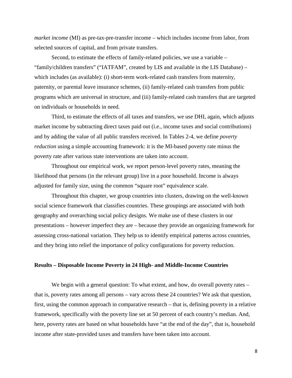*market income* (MI) as pre-tax-pre-transfer income – which includes income from labor, from selected sources of capital, and from private transfers.

Second, to estimate the effects of family-related policies, we use a variable – "family/children transfers" ("IATFAM", created by LIS and available in the LIS Database) – which includes (as available): (i) short-term work-related cash transfers from maternity, paternity, or parental leave insurance schemes, (ii) family-related cash transfers from public programs which are universal in structure, and (iii) family-related cash transfers that are targeted on individuals or households in need.

Third, to estimate the effects of all taxes and transfers, we use DHI, again, which adjusts market income by subtracting direct taxes paid out (i.e., income taxes and social contributions) and by adding the value of all public transfers received. In Tables 2-4, we define *poverty reduction* using a simple accounting framework: it is the MI-based poverty rate minus the poverty rate after various state interventions are taken into account.

Throughout our empirical work, we report person-level poverty rates, meaning the likelihood that persons (in the relevant group) live in a poor household. Income is always adjusted for family size, using the common "square root" equivalence scale.

Throughout this chapter, we group countries into clusters, drawing on the well-known social science framework that classifies countries. These groupings are associated with both geography and overarching social policy designs. We make use of these clusters in our presentations – however imperfect they are – because they provide an organizing framework for assessing cross-national variation. They help us to identify empirical patterns across countries, and they bring into relief the importance of policy configurations for poverty reduction.

# **Results – Disposable Income Poverty in 24 High- and Middle-Income Countries**

We begin with a general question: To what extent, and how, do overall poverty rates – that is, poverty rates among all persons – vary across these 24 countries? We ask that question, first, using the common approach in comparative research – that is, defining poverty in a relative framework, specifically with the poverty line set at 50 percent of each country's median. And, here, poverty rates are based on what households have "at the end of the day", that is, household income after state-provided taxes and transfers have been taken into account.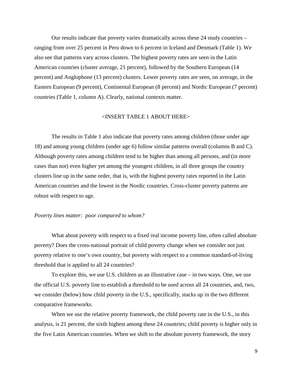Our results indicate that poverty varies dramatically across these 24 study countries – ranging from over 25 percent in Peru down to 6 percent in Iceland and Denmark (Table 1). We also see that patterns vary across clusters. The highest poverty rates are seen in the Latin American countries (cluster average, 21 percent), followed by the Southern European (14 percent) and Anglophone (13 percent) clusters. Lower poverty rates are seen, on average, in the Eastern European (9 percent), Continental European (8 percent) and Nordic European (7 percent) countries (Table 1, column A). Clearly, national contexts matter.

# <INSERT TABLE 1 ABOUT HERE>

The results in Table 1 also indicate that poverty rates among children (those under age 18) and among young children (under age 6) follow similar patterns overall (columns B and C). Although poverty rates among children tend to be higher than among all persons, and (in more cases than not) even higher yet among the youngest children, in all three groups the country clusters line up in the same order, that is, with the highest poverty rates reported in the Latin American countries and the lowest in the Nordic countries. Cross-cluster poverty patterns are robust with respect to age.

# *Poverty lines matter: poor compared to whom?*

What about poverty with respect to a fixed real income poverty line, often called absolute poverty? Does the cross-national portrait of child poverty change when we consider not just poverty relative to one's own country, but poverty with respect to a common standard-of-living threshold that is applied to all 24 countries?

To explore this, we use U.S. children as an illustrative case – in two ways. One, we use the official U.S. poverty line to establish a threshold to be used across all 24 countries, and, two, we consider (below) how child poverty in the U.S., specifically, stacks up in the two different comparative frameworks.

When we use the relative poverty framework, the child poverty rate in the U.S., in this analysis, is 21 percent, the sixth highest among these 24 countries; child poverty is higher only in the five Latin American countries. When we shift to the absolute poverty framework, the story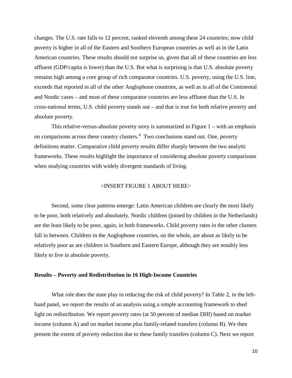changes. The U.S. rate falls to 12 percent, ranked eleventh among these 24 countries; now child poverty is higher in all of the Eastern and Southern European countries as well as in the Latin American countries. These results should not surprise us, given that all of these countries are less affluent (GDP/capita is lower) than the U.S. But what is surprising is that U.S. absolute poverty remains high among a core group of rich comparator countries. U.S. poverty, using the U.S. line, exceeds that reported in all of the other Anglophone countries, as well as in all of the Continental and Nordic cases – and most of these comparator countries are less affluent than the U.S. In cross-national terms, U.S. child poverty stands out – and that is true for both relative poverty and absolute poverty.

This relative-versus-absolute poverty story is summarized in Figure  $1 - \text{with an emphasis}$ on comparisons across these country clusters.[8](#page-17-7) Two conclusions stand out. One, poverty definitions matter. Comparative child poverty results differ sharply between the two analytic frameworks. These results highlight the importance of considering absolute poverty comparisons when studying countries with widely divergent standards of living.

# <INSERT FIGURE 1 ABOUT HERE>

Second, some clear patterns emerge: Latin American children are clearly the most likely to be poor, both relatively and absolutely. Nordic children (joined by children in the Netherlands) are the least likely to be poor, again, in both frameworks. Child poverty rates in the other clusters fall in between. Children in the Anglophone countries, on the whole, are about as likely to be relatively poor as are children in Southern and Eastern Europe, although they are notably less likely to live in absolute poverty.

### **Results – Poverty and Redistribution in 16 High-Income Countries**

What role does the state play in reducing the risk of child poverty? In Table 2, in the lefthand panel, we report the results of an analysis using a simple accounting framework to shed light on redistribution. We report poverty rates (at 50 percent of median DHI) based on market income (column A) and on market income *plus* family-related transfers (column B). We then present the extent of poverty reduction due to these family transfers (column C). Next we report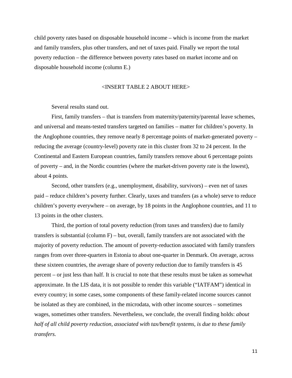child poverty rates based on disposable household income – which is income from the market and family transfers, plus other transfers, and net of taxes paid. Finally we report the total poverty reduction – the difference between poverty rates based on market income and on disposable household income (column E.)

# <INSERT TABLE 2 ABOUT HERE>

Several results stand out.

First, family transfers – that is transfers from maternity/paternity/parental leave schemes, and universal and means-tested transfers targeted on families – matter for children's poverty. In the Anglophone countries, they remove nearly 8 percentage points of market-generated poverty – reducing the average (country-level) poverty rate in this cluster from 32 to 24 percent. In the Continental and Eastern European countries, family transfers remove about 6 percentage points of poverty – and, in the Nordic countries (where the market-driven poverty rate is the lowest), about 4 points.

Second, other transfers (e.g., unemployment, disability, survivors) – even net of taxes paid – reduce children's poverty further. Clearly, taxes and transfers (as a whole) serve to reduce children's poverty everywhere – on average, by 18 points in the Anglophone countries, and 11 to 13 points in the other clusters.

Third, the portion of total poverty reduction (from taxes and transfers) due to family transfers is substantial (column  $F$ ) – but, overall, family transfers are not associated with the majority of poverty reduction. The amount of poverty-reduction associated with family transfers ranges from over three-quarters in Estonia to about one-quarter in Denmark. On average, across these sixteen countries, the average share of poverty reduction due to family transfers is 45 percent – or just less than half. It is crucial to note that these results must be taken as somewhat approximate. In the LIS data, it is not possible to render this variable ("IATFAM") identical in every country; in some cases, some components of these family-related income sources cannot be isolated as they are combined, in the microdata, with other income sources – sometimes wages, sometimes other transfers. Nevertheless, we conclude, the overall finding holds: *about half of all child poverty reduction, associated with tax/benefit systems, is due to these family transfers.*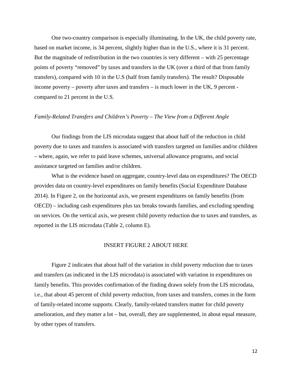One two-country comparison is especially illuminating. In the UK, the child poverty rate, based on market income, is 34 percent, slightly higher than in the U.S., where it is 31 percent. But the magnitude of redistribution in the two countries is very different – with 25 percentage points of poverty "removed" by taxes and transfers in the UK (over a third of that from family transfers), compared with 10 in the U.S (half from family transfers). The result? Disposable income poverty – poverty after taxes and transfers – is much lower in the UK, 9 percent compared to 21 percent in the U.S.

# *Family-Related Transfers and Children's Poverty – The View from a Different Angle*

Our findings from the LIS microdata suggest that about half of the reduction in child poverty due to taxes and transfers is associated with transfers targeted on families and/or children – where, again, we refer to paid leave schemes, universal allowance programs, and social assistance targeted on families and/or children.

What is the evidence based on aggregate, country-level data on expenditures? The OECD provides data on country-level expenditures on family benefits (Social Expenditure Database 2014). In Figure 2, on the horizontal axis, we present expenditures on family benefits (from OECD) – including cash expenditures plus tax breaks towards families, and excluding spending on services. On the vertical axis, we present child poverty reduction due to taxes and transfers, as reported in the LIS microdata (Table 2, column E).

# INSERT FIGURE 2 ABOUT HERE

Figure 2 indicates that about half of the variation in child poverty reduction due to taxes and transfers (as indicated in the LIS microdata) is associated with variation in expenditures on family benefits. This provides confirmation of the finding drawn solely from the LIS microdata, i.e., that about 45 percent of child poverty reduction, from taxes and transfers, comes in the form of family-related income supports. Clearly, family-related transfers matter for child poverty amelioration, and they matter a lot – but, overall, they are supplemented, in about equal measure, by other types of transfers.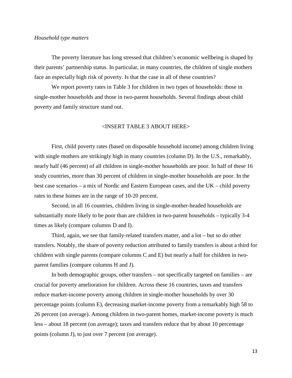## *Household type matters*

The poverty literature has long stressed that children's economic wellbeing is shaped by their parents' partnership status. In particular, in many countries, the children of single mothers face an especially high risk of poverty. Is that the case in all of these countries?

We report poverty rates in Table 3 for children in two types of households: those in single-mother households and those in two-parent households. Several findings about child poverty and family structure stand out.

# <INSERT TABLE 3 ABOUT HERE>

First, child poverty rates (based on disposable household income) among children living with single mothers are strikingly high in many countries (column D). In the U.S., remarkably, nearly half (46 percent) of all children in single-mother households are poor. In half of these 16 study countries, more than 30 percent of children in single-mother households are poor. In the best case scenarios – a mix of Nordic and Eastern European cases, and the UK – child poverty rates in these homes are in the range of 10-20 percent.

Second, in all 16 countries, children living in single-mother-headed households are substantially more likely to be poor than are children in two-parent households – typically 3-4 times as likely (compare columns D and I).

Third, again, we see that family-related transfers matter, and a lot – but so do other transfers. Notably, the share of poverty reduction attributed to family transfers is about a third for children with single parents (compare columns C and E) but nearly a half for children in twoparent families (compare columns H and J).

In both demographic groups, other transfers – not specifically targeted on families – are crucial for poverty amelioration for children. Across these 16 countries, taxes and transfers reduce market-income poverty among children in single-mother households by over 30 percentage points (column E), decreasing market-income poverty from a remarkably high 58 to 26 percent (on average). Among children in two-parent homes, market-income poverty is much less – about 18 percent (on average); taxes and transfers reduce that by about 10 percentage points (column J), to just over 7 percent (on average).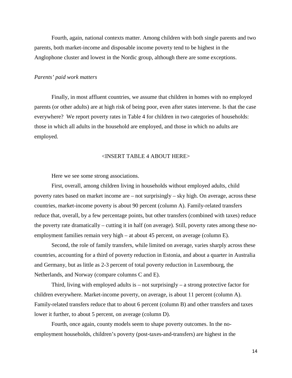Fourth, again, national contexts matter. Among children with both single parents and two parents, both market-income and disposable income poverty tend to be highest in the Anglophone cluster and lowest in the Nordic group, although there are some exceptions.

# *Parents' paid work matters*

Finally, in most affluent countries, we assume that children in homes with no employed parents (or other adults) are at high risk of being poor, even after states intervene. Is that the case everywhere? We report poverty rates in Table 4 for children in two categories of households: those in which all adults in the household are employed, and those in which no adults are employed.

# <INSERT TABLE 4 ABOUT HERE>

Here we see some strong associations.

First, overall, among children living in households without employed adults, child poverty rates based on market income are – not surprisingly – sky high. On average, across these countries, market-income poverty is about 90 percent (column A). Family-related transfers reduce that, overall, by a few percentage points, but other transfers (combined with taxes) reduce the poverty rate dramatically – cutting it in half (on average). Still, poverty rates among these noemployment families remain very high – at about 45 percent, on average (column E).

Second, the role of family transfers, while limited on average, varies sharply across these countries, accounting for a third of poverty reduction in Estonia, and about a quarter in Australia and Germany, but as little as 2-3 percent of total poverty reduction in Luxembourg, the Netherlands, and Norway (compare columns C and E).

Third, living with employed adults is  $-$  not surprisingly  $-$  a strong protective factor for children everywhere. Market-income poverty, on average, is about 11 percent (column A). Family-related transfers reduce that to about 6 percent (column B) and other transfers and taxes lower it further, to about 5 percent, on average (column D).

Fourth, once again, county models seem to shape poverty outcomes. In the noemployment households, children's poverty (post-taxes-and-transfers) are highest in the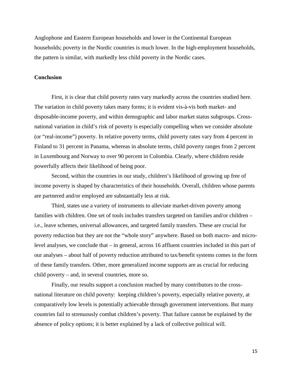Anglophone and Eastern European households and lower in the Continental European households; poverty in the Nordic countries is much lower. In the high-employment households, the pattern is similar, with markedly less child poverty in the Nordic cases.

# **Conclusion**

First, it is clear that child poverty rates vary markedly across the countries studied here. The variation in child poverty takes many forms; it is evident vis-à-vis both market- and disposable-income poverty, and within demographic and labor market status subgroups. Crossnational variation in child's risk of poverty is especially compelling when we consider absolute (or "real-income") poverty. In relative poverty terms, child poverty rates vary from 4 percent in Finland to 31 percent in Panama, whereas in absolute terms, child poverty ranges from 2 percent in Luxembourg and Norway to over 90 percent in Colombia. Clearly, where children reside powerfully affects their likelihood of being poor.

Second, within the countries in our study, children's likelihood of growing up free of income poverty is shaped by characteristics of their households. Overall, children whose parents are partnered and/or employed are substantially less at risk.

Third, states use a variety of instruments to alleviate market-driven poverty among families with children. One set of tools includes transfers targeted on families and/or children – i.e., leave schemes, universal allowances, and targeted family transfers. These are crucial for poverty reduction but they are not the "whole story" anywhere. Based on both macro- and microlevel analyses, we conclude that – in general, across 16 affluent countries included in this part of our analyses – about half of poverty reduction attributed to tax/benefit systems comes in the form of these family transfers. Other, more generalized income supports are as crucial for reducing child poverty – and, in several countries, more so.

Finally, our results support a conclusion reached by many contributors to the crossnational literature on child poverty: keeping children's poverty, especially relative poverty, at comparatively low levels is potentially achievable through government interventions. But many countries fail to strenuously combat children's poverty. That failure cannot be explained by the absence of policy options; it is better explained by a lack of collective political will.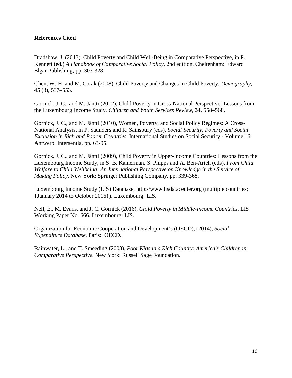# **References Cited**

Bradshaw, J. (2013), Child Poverty and Child Well-Being in Comparative Perspective, in P. Kennett (ed.) *A Handbook of Comparative Social Policy*, 2nd edition, Cheltenham: Edward Elgar Publishing, pp. 303-328.

Chen, W.-H. and M. Corak (2008), Child Poverty and Changes in Child Poverty, *Demography*, **45** (3), 537–553.

Gornick, J. C., and M. Jäntti (2012), Child Poverty in Cross-National Perspective: Lessons from the Luxembourg Income Study, *Children and Youth Services Review,* **34**, 558–568.

Gornick, J. C., and M. Jäntti (2010), Women, Poverty, and Social Policy Regimes: A Cross-National Analysis, in P. Saunders and R. Sainsbury (eds), *Social Security, Poverty and Social Exclusion in Rich and Poorer Countries,* International Studies on Social Security - Volume 16, Antwerp: Intersentia, pp. 63-95.

Gornick, J. C., and M. Jäntti (2009), Child Poverty in Upper-Income Countries: Lessons from the Luxembourg Income Study, in S. B. Kamerman, S. Phipps and A. Ben-Arieh (eds), *From Child Welfare to Child Wellbeing: An International Perspective on Knowledge in the Service of Making Policy,* New York: Springer Publishing Company, pp. 339-368.

Luxembourg Income Study (LIS) Database, http://www.lisdatacenter.org (multiple countries; {January 2014 to October 2016}). Luxembourg: LIS.

Nell, E., M. Evans, and J. C. Gornick (2016), *Child Poverty in Middle-Income Countries*, LIS Working Paper No. 666. Luxembourg: LIS.

Organization for Economic Cooperation and Development's (OECD), (2014), *Social Expenditure Database.* Paris: OECD.

Rainwater, L., and T. Smeeding (2003), *Poor Kids in a Rich Country: America's Children in Comparative Perspective.* New York: Russell Sage Foundation.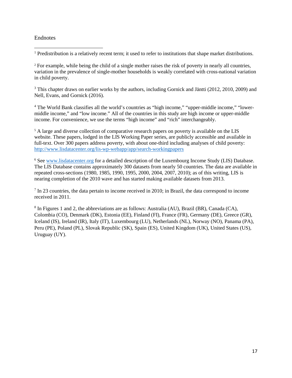# Endnotes

<span id="page-17-0"></span> $<sup>1</sup>$  Predistribution is a relatively recent term; it used to refer to institutions that shape market distributions.</sup>  $\overline{a}$ 

<span id="page-17-1"></span><sup>2</sup> For example, while being the child of a single mother raises the risk of poverty in nearly all countries, variation in the prevalence of single-mother households is weakly correlated with cross-national variation in child poverty.

<span id="page-17-2"></span><sup>3</sup> This chapter draws on earlier works by the authors, including Gornick and Jäntti (2012, 2010, 2009) and Nell, Evans, and Gornick (2016).

<span id="page-17-3"></span><sup>4</sup> The World Bank classifies all the world's countries as "high income," "upper-middle income," "lowermiddle income," and "low income." All of the countries in this study are high income or upper-middle income. For convenience, we use the terms "high income" and "rich" interchangeably.

<span id="page-17-4"></span><sup>5</sup> A large and diverse collection of comparative research papers on poverty is available on the LIS website. These papers, lodged in the LIS Working Paper series, are publicly accessible and available in full-text. Over 300 papers address poverty, with about one-third including analyses of child poverty: <http://www.lisdatacenter.org/lis-wp-webapp/app/search-workingpapers>

<span id="page-17-5"></span><sup>6</sup> See [www.lisdatacenter.org](http://www.lisdatacenter.org/) for a detailed description of the Luxembourg Income Study (LIS) Database. The LIS Database contains approximately 300 datasets from nearly 50 countries. The data are available in repeated cross-sections (1980, 1985, 1990, 1995, 2000, 2004, 2007, 2010); as of this writing, LIS is nearing completion of the 2010 wave and has started making available datasets from 2013.

<span id="page-17-6"></span><sup>7</sup> In 23 countries, the data pertain to income received in 2010; in Brazil, the data correspond to income received in 2011.

<span id="page-17-7"></span><sup>8</sup> In Figures 1 and 2, the abbreviations are as follows: Australia (AU), Brazil (BR), Canada (CA), Colombia (CO), Denmark (DK), Estonia (EE), Finland (FI), France (FR), Germany (DE), Greece (GR), Iceland (IS), Ireland (IR), Italy (IT), Luxembourg (LU), Netherlands (NL), Norway (NO), Panama (PA), Peru (PE), Poland (PL), Slovak Republic (SK), Spain (ES), United Kingdom (UK), United States (US), Uruguay (UY).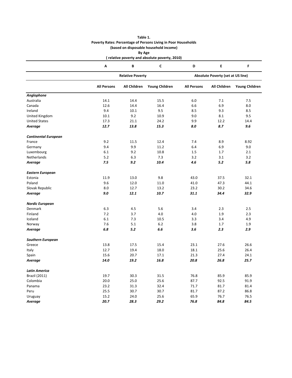|                             |                    |                         | (based on disposable household income)        |                                   |                     |                       |  |
|-----------------------------|--------------------|-------------------------|-----------------------------------------------|-----------------------------------|---------------------|-----------------------|--|
|                             |                    | By Age                  |                                               |                                   |                     |                       |  |
|                             |                    |                         | (relative poverty and absolute poverty, 2010) |                                   |                     |                       |  |
|                             | Α                  | В                       | $\mathsf{C}$                                  | D                                 | E                   | F                     |  |
|                             |                    | <b>Relative Poverty</b> |                                               | Absolute Poverty (set at US line) |                     |                       |  |
|                             | <b>All Persons</b> | <b>All Children</b>     | <b>Young Children</b>                         | <b>All Persons</b>                | <b>All Children</b> | <b>Young Children</b> |  |
| Anglophone                  |                    |                         |                                               |                                   |                     |                       |  |
| Australia                   | 14.1               | 14.4                    | 15.5                                          | 6.0                               | 7.1                 | 7.5                   |  |
| Canada                      | 12.6               | 14.4                    | 16.4                                          | 6.6                               | 6.9                 | 8.0                   |  |
| Ireland                     | 9.4                | 10.1                    | 9.5                                           | 8.5                               | 9.3                 | 8.5                   |  |
| United Kingdom              | 10.1               | 9.2                     | 10.9                                          | 9.0                               | 8.1                 | 9.5                   |  |
| <b>United States</b>        | 17.3               | 21.1                    | 24.2                                          | 9.9                               | 12.2                | 14.4                  |  |
| Average                     | 12.7               | 13.8                    | 15.3                                          | 8.0                               | 8.7                 | 9.6                   |  |
| <b>Continental European</b> |                    |                         |                                               |                                   |                     |                       |  |
| France                      | 9.2                | 11.5                    | 12.4                                          | 7.4                               | 8.9                 | 8.92                  |  |
| Germany                     | 9.4                | 9.9                     | 11.2                                          | 6.4                               | 6.9                 | 9.0                   |  |
| Luxembourg                  | 6.1                | 9.2                     | 10.8                                          | 1.5                               | 1.7                 | 2.1                   |  |
| <b>Netherlands</b>          | 5.2                | 6.3                     | 7.3                                           | 3.2                               | 3.1                 | 3.2                   |  |
| Average                     | 7.5                | 9.2                     | 10.4                                          | 4.6                               | 5.2                 | 5.8                   |  |
| <b>Eastern European</b>     |                    |                         |                                               |                                   |                     |                       |  |
| Estonia                     | 11.9               | 13.0                    | 9.8                                           | 43.0                              | 37.5                | 32.1                  |  |
| Poland                      | 9.6                | 12.0                    | 11.0                                          | 41.0                              | 47.3                | 44.1                  |  |
| Slovak Republic             | 8.0                | 12.7                    | 13.2                                          | 23.2                              | 30.2                | 34.6                  |  |
| Average                     | 9.0                | 12.1                    | 10.7                                          | 31.1                              | 34.4                | 32.9                  |  |
|                             |                    |                         |                                               |                                   |                     |                       |  |
| <b>Nordic European</b>      |                    |                         |                                               |                                   |                     |                       |  |
| Denmark                     | 6.3                | 4.5                     | 5.6                                           | 3.4                               | 2.3                 | 2.5                   |  |
| Finland                     | 7.2                | 3.7                     | 4.0                                           | 4.0                               | 1.9                 | 2.3                   |  |
| Iceland                     | 6.1                | 7.3                     | 10.5                                          | 3.3                               | 3.4                 | 4.9                   |  |
| Norway                      | 7.6                | 5.1                     | 6.2                                           | 3.8                               | 1.7                 | 1.9                   |  |
| Average                     | 6.8                | 5.2                     | 6.6                                           | 3.6                               | 2.3                 | 2.9                   |  |
| <b>Southern European</b>    |                    |                         |                                               |                                   |                     |                       |  |
| Greece                      | 13.8               | 17.5                    | 15.4                                          | 23.1                              | 27.6                | 26.6                  |  |
| Italy                       | 12.7               | 19.4                    | 18.0                                          | 18.1                              | 25.6                | 26.4                  |  |
| Spain                       | 15.6               | 20.7                    | 17.1                                          | 21.3                              | 27.4                | 24.1                  |  |
| <b>Average</b>              | 14.0               | 19.2                    | 16.8                                          | 20.8                              | 26.8                | 25.7                  |  |
| Latin America               |                    |                         |                                               |                                   |                     |                       |  |
| <b>Brazil (2011)</b>        | 19.7               | 30.3                    | 31.5                                          | 76.8                              | 85.9                | 85.9                  |  |
| Colombia                    | 20.0               | 25.0                    | 25.6                                          | 87.7                              | 92.5                | 91.9                  |  |
| Panama                      | 23.2               | 31.3                    | 32.4                                          | 71.7                              | 81.7                | 81.4                  |  |
| Peru                        | 25.5               | 30.7                    | 30.7                                          | 81.7                              | 87.2                | 86.8                  |  |
| Uruguay                     | 15.2               | 24.0                    | 25.6                                          | 65.9                              | 76.7                | 76.5                  |  |
| Average                     | 20.7               | 28.3                    | 29.2                                          | 76.8                              | 84.8                | 84.5                  |  |
|                             |                    |                         |                                               |                                   |                     |                       |  |

**Table 1. Poverty Rates: Percentage of Persons Living in Poor Households**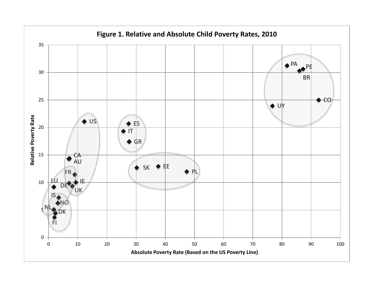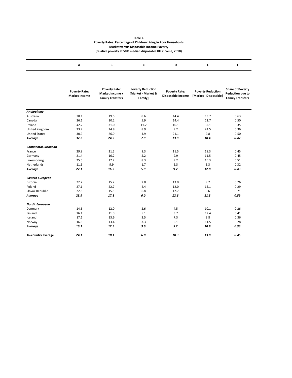#### **Table 2. Poverty Rates: Percentage of Children Living in Poor Households Market versus Disposable Income Poverty (relative poverty at 50% median disposable HH income, 2010)**

|                             | <b>Poverty Rate:</b><br><b>Market Income</b> | <b>Poverty Rate:</b><br>Market Income +<br><b>Family Transfers</b> | <b>Poverty Reduction</b><br>[Market - Market &<br>Family] | <b>Poverty Rate:</b><br>Disposable Income | <b>Poverty Reduction</b><br>[Market - Disposable] | <b>Share of Poverty</b><br><b>Reduction due to</b><br><b>Family Transfers</b> |  |
|-----------------------------|----------------------------------------------|--------------------------------------------------------------------|-----------------------------------------------------------|-------------------------------------------|---------------------------------------------------|-------------------------------------------------------------------------------|--|
|                             |                                              |                                                                    |                                                           |                                           |                                                   |                                                                               |  |
| Anglophone<br>Australia     | 28.1                                         | 19.5                                                               | 8.6                                                       | 14.4                                      | 13.7                                              | 0.63                                                                          |  |
| Canada                      | 26.1                                         | 20.2                                                               | 5.9                                                       | 14.4                                      | 11.7                                              | 0.50                                                                          |  |
| Ireland                     |                                              |                                                                    |                                                           |                                           |                                                   |                                                                               |  |
|                             | 42.2                                         | 31.0                                                               | 11.2                                                      | 10.1                                      | 32.1                                              | 0.35                                                                          |  |
| United Kingdom              | 33.7                                         | 24.8                                                               | 8.9                                                       | 9.2                                       | 24.5                                              | 0.36                                                                          |  |
| <b>United States</b>        | 30.9                                         | 26.0                                                               | 4.9                                                       | 21.1                                      | 9.8                                               | 0.50                                                                          |  |
| Average                     | 32.2                                         | 24.3                                                               | 7.9                                                       | 13.8                                      | 18.4                                              | 0.47                                                                          |  |
| <b>Continental European</b> |                                              |                                                                    |                                                           |                                           |                                                   |                                                                               |  |
| France                      | 29.8                                         | 21.5                                                               | 8.3                                                       | 11.5                                      | 18.3                                              | 0.45                                                                          |  |
| Germany                     | 21.4                                         | 16.2                                                               | 5.2                                                       | 9.9                                       | 11.5                                              | 0.45                                                                          |  |
| Luxembourg                  | 25.5                                         | 17.2                                                               | 8.3                                                       | 9.2                                       | 16.3                                              | 0.51                                                                          |  |
| Netherlands                 | 11.6                                         | 9.9                                                                | 1.7                                                       | 6.3                                       | 5.3                                               | 0.32                                                                          |  |
| Average                     | 22.1                                         | 16.2                                                               | 5.9                                                       | 9.2                                       | 12.8                                              | 0.43                                                                          |  |
| <b>Eastern European</b>     |                                              |                                                                    |                                                           |                                           |                                                   |                                                                               |  |
| Estonia                     | 22.2                                         | 15.2                                                               | 7.0                                                       | 13.0                                      | 9.2                                               | 0.76                                                                          |  |
| Poland                      | 27.1                                         | 22.7                                                               | 4.4                                                       | 12.0                                      | 15.1                                              | 0.29                                                                          |  |
| Slovak Republic             | 22.3                                         | 15.5                                                               | 6.8                                                       | 12.7                                      | 9.6                                               | 0.71                                                                          |  |
| Average                     | 23.9                                         | 17.8                                                               | 6.0                                                       | 12.6                                      | 11.3                                              | 0.59                                                                          |  |
| <b>Nordic European</b>      |                                              |                                                                    |                                                           |                                           |                                                   |                                                                               |  |
| Denmark                     | 14.6                                         | 12.0                                                               | 2.6                                                       | 4.5                                       | 10.1                                              | 0.26                                                                          |  |
| Finland                     | 16.1                                         | 11.0                                                               | 5.1                                                       | 3.7                                       | 12.4                                              | 0.41                                                                          |  |
| Iceland                     | 17.1                                         | 13.6                                                               | 3.5                                                       | 7.3                                       | 9.8                                               | 0.36                                                                          |  |
| Norway                      | 16.6                                         | 13.4                                                               | 3.3                                                       | 5.1                                       | 11.5                                              | 0.28                                                                          |  |
| Average                     | 16.1                                         | 12.5                                                               | 3.6                                                       | $5.2$                                     | 10.9                                              | 0.33                                                                          |  |
|                             |                                              |                                                                    |                                                           |                                           |                                                   |                                                                               |  |
| 16-country average          | 24.1                                         | 18.1                                                               | 6.0                                                       | 10.3                                      | 13.8                                              | 0.45                                                                          |  |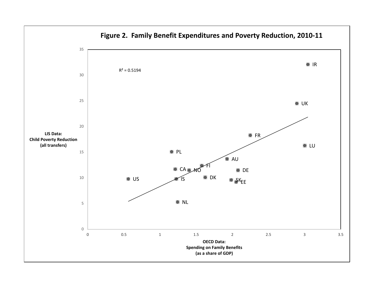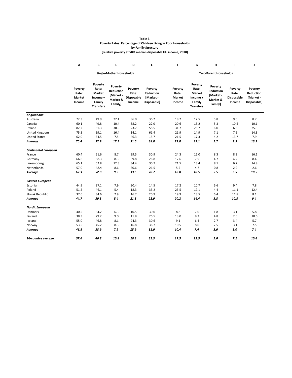| Table 3.                                                        |
|-----------------------------------------------------------------|
| Poverty Rates: Percentage of Children Living in Poor Households |
| by Family Structure                                             |
| (relative poverty at 50% median disposable HH income, 2010)     |

|                             | А                                           | В                                                                           | C                                                        | D                                               | E                                                | F                                    | G                                                                    | н                                                        | л                                        | J                                                |  |  |
|-----------------------------|---------------------------------------------|-----------------------------------------------------------------------------|----------------------------------------------------------|-------------------------------------------------|--------------------------------------------------|--------------------------------------|----------------------------------------------------------------------|----------------------------------------------------------|------------------------------------------|--------------------------------------------------|--|--|
|                             |                                             | <b>Single-Mother Households</b>                                             |                                                          |                                                 |                                                  |                                      | <b>Two-Parent Households</b>                                         |                                                          |                                          |                                                  |  |  |
|                             | Poverty<br>Rate:<br><b>Market</b><br>Income | Poverty<br>Rate:<br>Market<br>Income +<br><b>Family</b><br><b>Transfers</b> | Poverty<br>Reduction<br>[Market -<br>Market &<br>Family] | Poverty<br>Rate:<br><b>Disposable</b><br>Income | Poverty<br>Reduction<br>[Market -<br>Disposable] | Poverty<br>Rate:<br>Market<br>Income | Poverty<br>Rate:<br>Market<br>Income +<br>Family<br><b>Transfers</b> | Poverty<br>Reduction<br>[Market -<br>Market &<br>Family] | Poverty<br>Rate:<br>Disposable<br>Income | Poverty<br>Reduction<br>[Market -<br>Disposable] |  |  |
| Anglophone                  |                                             |                                                                             |                                                          |                                                 |                                                  |                                      |                                                                      |                                                          |                                          |                                                  |  |  |
| Australia                   | 72.3                                        | 49.9                                                                        | 22.4                                                     | 36.0                                            | 36.2                                             | 18.2                                 | 12.5                                                                 | 5.8                                                      | 9.6                                      | 8.7                                              |  |  |
| Canada                      | 60.1                                        | 49.8                                                                        | 10.4                                                     | 38.2                                            | 22.0                                             | 20.6                                 | 15.2                                                                 | 5.3                                                      | 10.5                                     | 10.1                                             |  |  |
| Ireland                     | 82.2                                        | 51.3                                                                        | 30.9                                                     | 23.7                                            | 58.5                                             | 31.7                                 | 25.7                                                                 | 6.0                                                      | 6.3                                      | 25.3                                             |  |  |
| United Kingdom              | 75.5                                        | 59.1                                                                        | 16.4                                                     | 14.1                                            | 61.4                                             | 21.9                                 | 14.9                                                                 | 7.1                                                      | 7.6                                      | 14.3                                             |  |  |
| <b>United States</b>        | 62.0                                        | 54.5                                                                        | 7.5                                                      | 46.3                                            | 15.7                                             | 21.5                                 | 17.3                                                                 | 4.2                                                      | 13.7                                     | 7.9                                              |  |  |
| Average                     | 70.4                                        | 52.9                                                                        | 17.5                                                     | 31.6                                            | 38.8                                             | 22.8                                 | 17.1                                                                 | 5.7                                                      | 9.5                                      | 13.2                                             |  |  |
| <b>Continental European</b> |                                             |                                                                             |                                                          |                                                 |                                                  |                                      |                                                                      |                                                          |                                          |                                                  |  |  |
| France                      | 60.4                                        | 51.6                                                                        | 8.7                                                      | 29.5                                            | 30.9                                             | 24.3                                 | 16.0                                                                 | 8.3                                                      | 8.2                                      | 16.1                                             |  |  |
| Germany                     | 66.6                                        | 58.3                                                                        | 8.3                                                      | 39.8                                            | 26.8                                             | 12.6                                 | 7.9                                                                  | 4.7                                                      | 4.2                                      | 8.4                                              |  |  |
| Luxembourg                  | 65.1                                        | 52.8                                                                        | 12.3                                                     | 34.4                                            | 30.7                                             | 21.5                                 | 13.4                                                                 | 8.1                                                      | 6.7                                      | 14.8                                             |  |  |
| Netherlands                 | 57.0                                        | 48.4                                                                        | 8.6                                                      | 30.6                                            | 26.5                                             | 5.5                                  | 4.7                                                                  | 0.8                                                      | 2.9                                      | 2.6                                              |  |  |
| Average                     | 62.3                                        | 52.8                                                                        | 9.5                                                      | 33.6                                            | 28.7                                             | 16.0                                 | 10.5                                                                 | 5.5                                                      | 5.5                                      | 10.5                                             |  |  |
| Eastern European            |                                             |                                                                             |                                                          |                                                 |                                                  |                                      |                                                                      |                                                          |                                          |                                                  |  |  |
| Estonia                     | 44.9                                        | 37.1                                                                        | 7.9                                                      | 30.4                                            | 14.5                                             | 17.2                                 | 10.7                                                                 | 6.6                                                      | 9.4                                      | 7.8                                              |  |  |
| Poland                      | 51.5                                        | 46.1                                                                        | 5.4                                                      | 18.3                                            | 33.2                                             | 23.5                                 | 19.1                                                                 | 4.4                                                      | 11.1                                     | 12.4                                             |  |  |
| Slovak Republic             | 37.6                                        | 34.6                                                                        | 2.9                                                      | 16.7                                            | 20.9                                             | 19.9                                 | 13.5                                                                 | 6.4                                                      | 11.8                                     | 8.1                                              |  |  |
| Average                     | 44.7                                        | 39.3                                                                        | 5.4                                                      | 21.8                                            | 22.9                                             | 20.2                                 | 14.4                                                                 | 5.8                                                      | 10.8                                     | 9.4                                              |  |  |
| <b>Nordic European</b>      |                                             |                                                                             |                                                          |                                                 |                                                  |                                      |                                                                      |                                                          |                                          |                                                  |  |  |
| Denmark                     | 40.5                                        | 34.2                                                                        | 6.3                                                      | 10.5                                            | 30.0                                             | 8.8                                  | 7.0                                                                  | 1.8                                                      | 3.1                                      | 5.8                                              |  |  |
| Finland                     | 38.3                                        | 29.2                                                                        | 9.0                                                      | 11.8                                            | 26.5                                             | 13.0                                 | 8.3                                                                  | 4.8                                                      | 2.5                                      | 10.6                                             |  |  |
| Iceland                     | 55.0                                        | 46.8                                                                        | 8.1                                                      | 24.3                                            | 30.6                                             | 9.1                                  | 6.4                                                                  | 2.7                                                      | 3.4                                      | 5.7                                              |  |  |
| Norway                      | 53.5                                        | 45.2                                                                        | 8.3                                                      | 16.8                                            | 36.7                                             | 10.5                                 | 8.0                                                                  | 2.5                                                      | 3.1                                      | 7.5                                              |  |  |
| Average                     | 46.8                                        | 38.9                                                                        | 7.9                                                      | 15.9                                            | 31.0                                             | 10.4                                 | 7.4                                                                  | 3.0                                                      | 3.0                                      | 7.4                                              |  |  |
| 16-country average          | 57.6                                        | 46.8                                                                        | 10.8                                                     | 26.3                                            | 31.3                                             | 17.5                                 | 12.5                                                                 | 5.0                                                      | 7.1                                      | 10.4                                             |  |  |